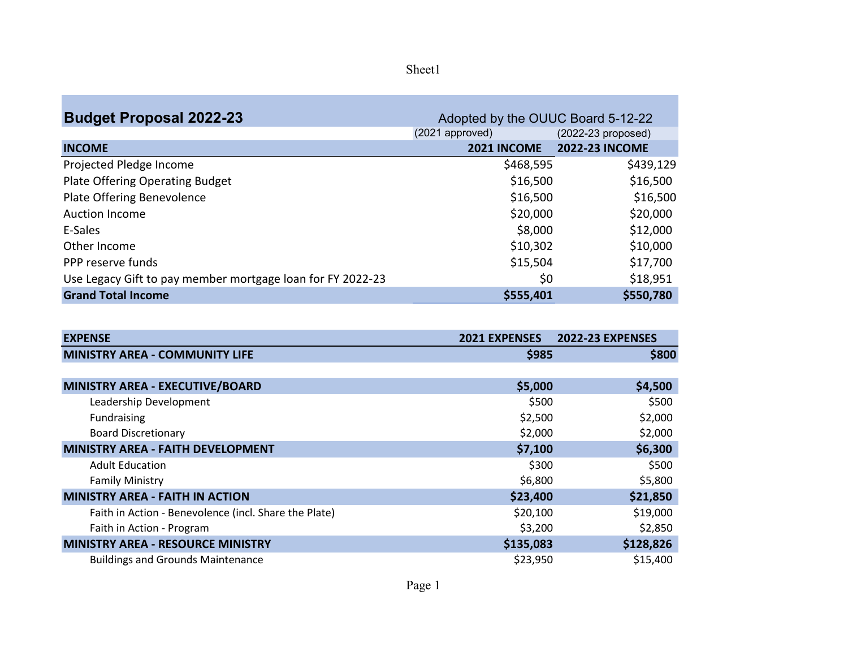| ne.<br>U. |
|-----------|
|-----------|

| <b>Budget Proposal 2022-23</b>                             | Adopted by the OUUC Board 5-12-22 |                       |
|------------------------------------------------------------|-----------------------------------|-----------------------|
|                                                            | (2021 approved)                   | $(2022-23$ proposed)  |
| <b>INCOME</b>                                              | 2021 INCOME                       | <b>2022-23 INCOME</b> |
| Projected Pledge Income                                    | \$468,595                         | \$439,129             |
| Plate Offering Operating Budget                            | \$16,500                          | \$16,500              |
| Plate Offering Benevolence                                 | \$16,500                          | \$16,500              |
| <b>Auction Income</b>                                      | \$20,000                          | \$20,000              |
| E-Sales                                                    | \$8,000                           | \$12,000              |
| Other Income                                               | \$10,302                          | \$10,000              |
| PPP reserve funds                                          | \$15,504                          | \$17,700              |
| Use Legacy Gift to pay member mortgage loan for FY 2022-23 | \$0                               | \$18,951              |
| <b>Grand Total Income</b>                                  | \$555,401                         | \$550,780             |

| <b>EXPENSE</b>                                        | <b>2021 EXPENSES</b> | <b>2022-23 EXPENSES</b> |
|-------------------------------------------------------|----------------------|-------------------------|
| <b>MINISTRY AREA - COMMUNITY LIFE</b>                 | \$985                | \$800                   |
|                                                       |                      |                         |
| MINISTRY AREA - EXECUTIVE/BOARD                       | \$5,000              | \$4,500                 |
| Leadership Development                                | \$500                | \$500                   |
| Fundraising                                           | \$2,500              | \$2,000                 |
| <b>Board Discretionary</b>                            | \$2,000              | \$2,000                 |
| <b>MINISTRY AREA - FAITH DEVELOPMENT</b>              | \$7,100              | \$6,300                 |
| <b>Adult Education</b>                                | \$300                | \$500                   |
| <b>Family Ministry</b>                                | \$6,800              | \$5,800                 |
| <b>MINISTRY AREA - FAITH IN ACTION</b>                | \$23,400             | \$21,850                |
| Faith in Action - Benevolence (incl. Share the Plate) | \$20,100             | \$19,000                |
| Faith in Action - Program                             | \$3,200              | \$2,850                 |
| <b>MINISTRY AREA - RESOURCE MINISTRY</b>              | \$135,083            | \$128,826               |
| <b>Buildings and Grounds Maintenance</b>              | \$23,950             | \$15,400                |